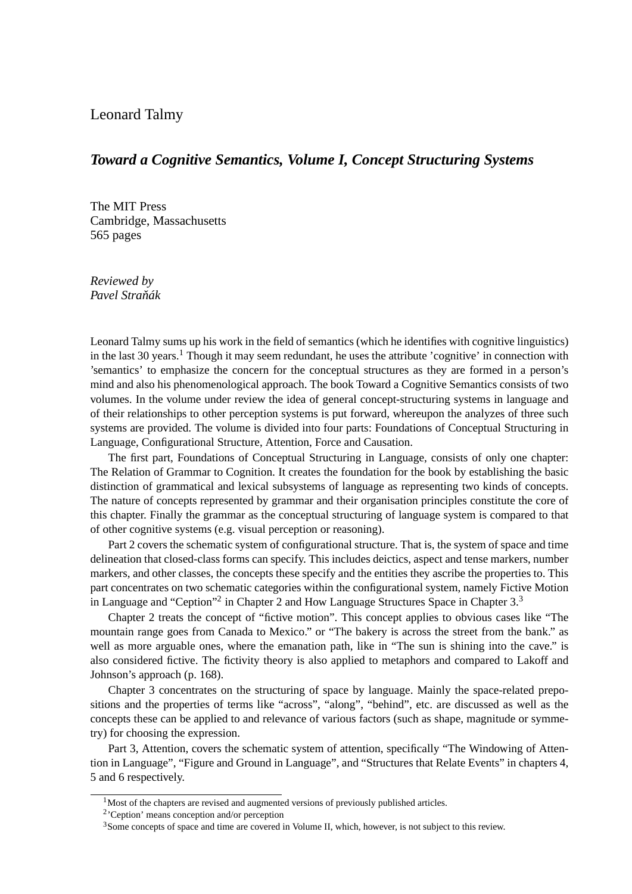## Leonard Talmy

## *Toward a Cognitive Semantics, Volume I, Concept Structuring Systems*

The MIT Press Cambridge, Massachusetts 565 pages

*Reviewed by Pavel Straˇnák*

Leonard Talmy sums up his work in the field of semantics (which he identifies with cognitive linguistics) in the last 30 years.<sup>1</sup> Though it may seem redundant, he uses the attribute 'cognitive' in connection with 'semantics' to emphasize the concern for the conceptual structures as they are formed in a person's mind and also his phenomenological approach. The book Toward a Cognitive Semantics consists of two volumes. In the volume under review the idea of general concept-structuring systems in language and of their relationships to other perception systems is put forward, whereupon the analyzes of three such systems are provided. The volume is divided into four parts: Foundations of Conceptual Structuring in Language, Configurational Structure, Attention, Force and Causation.

The first part, Foundations of Conceptual Structuring in Language, consists of only one chapter: The Relation of Grammar to Cognition. It creates the foundation for the book by establishing the basic distinction of grammatical and lexical subsystems of language as representing two kinds of concepts. The nature of concepts represented by grammar and their organisation principles constitute the core of this chapter. Finally the grammar as the conceptual structuring of language system is compared to that of other cognitive systems (e.g. visual perception or reasoning).

Part 2 covers the schematic system of configurational structure. That is, the system of space and time delineation that closed-class forms can specify. This includes deictics, aspect and tense markers, number markers, and other classes, the concepts these specify and the entities they ascribe the properties to. This part concentrates on two schematic categories within the configurational system, namely Fictive Motion in Language and "Ception"<sup>2</sup> in Chapter 2 and How Language Structures Space in Chapter 3.<sup>3</sup>

Chapter 2 treats the concept of "fictive motion". This concept applies to obvious cases like "The mountain range goes from Canada to Mexico." or "The bakery is across the street from the bank." as well as more arguable ones, where the emanation path, like in "The sun is shining into the cave." is also considered fictive. The fictivity theory is also applied to metaphors and compared to Lakoff and Johnson's approach (p. 168).

Chapter 3 concentrates on the structuring of space by language. Mainly the space-related prepositions and the properties of terms like "across", "along", "behind", etc. are discussed as well as the concepts these can be applied to and relevance of various factors (such as shape, magnitude or symmetry) for choosing the expression.

Part 3, Attention, covers the schematic system of attention, specifically "The Windowing of Attention in Language", "Figure and Ground in Language", and "Structures that Relate Events" in chapters 4, 5 and 6 respectively.

<sup>&</sup>lt;sup>1</sup>Most of the chapters are revised and augmented versions of previously published articles.

<sup>2</sup> 'Ception' means conception and/or perception

 $3$ Some concepts of space and time are covered in Volume II, which, however, is not subject to this review.